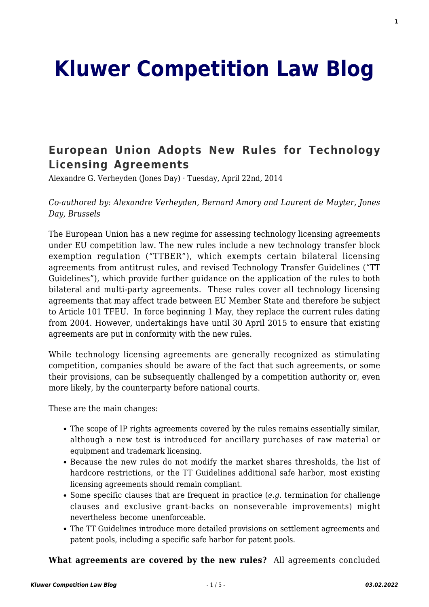# **[Kluwer Competition Law Blog](http://competitionlawblog.kluwercompetitionlaw.com/)**

# **[European Union Adopts New Rules for Technology](http://competitionlawblog.kluwercompetitionlaw.com/2014/04/22/european-union-adopts-new-rules-for-technology-licensing-agreements/) [Licensing Agreements](http://competitionlawblog.kluwercompetitionlaw.com/2014/04/22/european-union-adopts-new-rules-for-technology-licensing-agreements/)**

Alexandre G. Verheyden (Jones Day) · Tuesday, April 22nd, 2014

*Co-authored by: Alexandre Verheyden, Bernard Amory and Laurent de Muyter, Jones Day, Brussels*

The European Union has a new regime for assessing technology licensing agreements under EU competition law. The new rules include a new technology transfer block exemption regulation ("TTBER"), which exempts certain bilateral licensing agreements from antitrust rules, and revised Technology Transfer Guidelines ("TT Guidelines"), which provide further guidance on the application of the rules to both bilateral and multi-party agreements. These rules cover all technology licensing agreements that may affect trade between EU Member State and therefore be subject to Article 101 TFEU. In force beginning 1 May, they replace the current rules dating from 2004. However, undertakings have until 30 April 2015 to ensure that existing agreements are put in conformity with the new rules.

While technology licensing agreements are generally recognized as stimulating competition, companies should be aware of the fact that such agreements, or some their provisions, can be subsequently challenged by a competition authority or, even more likely, by the counterparty before national courts.

These are the main changes:

- The scope of IP rights agreements covered by the rules remains essentially similar, although a new test is introduced for ancillary purchases of raw material or equipment and trademark licensing.
- Because the new rules do not modify the market shares thresholds, the list of hardcore restrictions, or the TT Guidelines additional safe harbor, most existing licensing agreements should remain compliant.
- Some specific clauses that are frequent in practice (*e.g.* termination for challenge clauses and exclusive grant-backs on nonseverable improvements) might nevertheless become unenforceable.
- The TT Guidelines introduce more detailed provisions on settlement agreements and patent pools, including a specific safe harbor for patent pools.

#### **What agreements are covered by the new rules?** All agreements concluded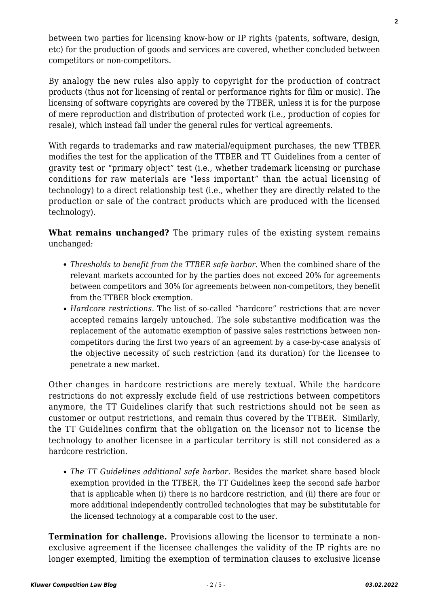between two parties for licensing know-how or IP rights (patents, software, design, etc) for the production of goods and services are covered, whether concluded between competitors or non-competitors.

By analogy the new rules also apply to copyright for the production of contract products (thus not for licensing of rental or performance rights for film or music). The licensing of software copyrights are covered by the TTBER, unless it is for the purpose of mere reproduction and distribution of protected work (i.e., production of copies for resale), which instead fall under the general rules for vertical agreements.

With regards to trademarks and raw material/equipment purchases, the new TTBER modifies the test for the application of the TTBER and TT Guidelines from a center of gravity test or "primary object" test (i.e., whether trademark licensing or purchase conditions for raw materials are "less important" than the actual licensing of technology) to a direct relationship test (i.e., whether they are directly related to the production or sale of the contract products which are produced with the licensed technology).

**What remains unchanged?** The primary rules of the existing system remains unchanged:

- *Thresholds to benefit from the TTBER safe harbor.* When the combined share of the relevant markets accounted for by the parties does not exceed 20% for agreements between competitors and 30% for agreements between non-competitors, they benefit from the TTBER block exemption.
- *Hardcore restrictions.* The list of so-called "hardcore" restrictions that are never accepted remains largely untouched. The sole substantive modification was the replacement of the automatic exemption of passive sales restrictions between noncompetitors during the first two years of an agreement by a case-by-case analysis of the objective necessity of such restriction (and its duration) for the licensee to penetrate a new market.

Other changes in hardcore restrictions are merely textual. While the hardcore restrictions do not expressly exclude field of use restrictions between competitors anymore, the TT Guidelines clarify that such restrictions should not be seen as customer or output restrictions, and remain thus covered by the TTBER. Similarly, the TT Guidelines confirm that the obligation on the licensor not to license the technology to another licensee in a particular territory is still not considered as a hardcore restriction.

*The TT Guidelines additional safe harbor.* Besides the market share based block exemption provided in the TTBER, the TT Guidelines keep the second safe harbor that is applicable when (i) there is no hardcore restriction, and (ii) there are four or more additional independently controlled technologies that may be substitutable for the licensed technology at a comparable cost to the user.

**Termination for challenge.** Provisions allowing the licensor to terminate a nonexclusive agreement if the licensee challenges the validity of the IP rights are no longer exempted, limiting the exemption of termination clauses to exclusive license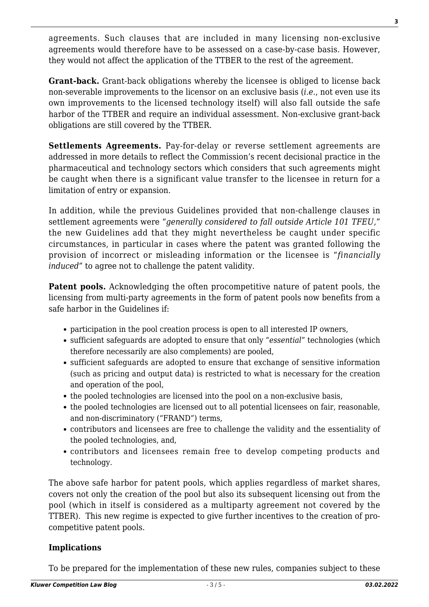agreements. Such clauses that are included in many licensing non-exclusive agreements would therefore have to be assessed on a case-by-case basis. However, they would not affect the application of the TTBER to the rest of the agreement.

**Grant-back.** Grant-back obligations whereby the licensee is obliged to license back non-severable improvements to the licensor on an exclusive basis (*i.e.*, not even use its own improvements to the licensed technology itself) will also fall outside the safe harbor of the TTBER and require an individual assessment. Non-exclusive grant-back obligations are still covered by the TTBER.

**Settlements Agreements.** Pay-for-delay or reverse settlement agreements are addressed in more details to reflect the Commission's recent decisional practice in the pharmaceutical and technology sectors which considers that such agreements might be caught when there is a significant value transfer to the licensee in return for a limitation of entry or expansion.

In addition, while the previous Guidelines provided that non-challenge clauses in settlement agreements were "*generally considered to fall outside Article 101 TFEU,*" the new Guidelines add that they might nevertheless be caught under specific circumstances, in particular in cases where the patent was granted following the provision of incorrect or misleading information or the licensee is "*financially induced*" to agree not to challenge the patent validity.

**Patent pools.** Acknowledging the often procompetitive nature of patent pools, the licensing from multi-party agreements in the form of patent pools now benefits from a safe harbor in the Guidelines if:

- participation in the pool creation process is open to all interested IP owners,
- sufficient safeguards are adopted to ensure that only "*essential*" technologies (which therefore necessarily are also complements) are pooled,
- sufficient safeguards are adopted to ensure that exchange of sensitive information (such as pricing and output data) is restricted to what is necessary for the creation and operation of the pool,
- the pooled technologies are licensed into the pool on a non-exclusive basis,
- the pooled technologies are licensed out to all potential licensees on fair, reasonable, and non-discriminatory ("FRAND") terms,
- contributors and licensees are free to challenge the validity and the essentiality of the pooled technologies, and,
- contributors and licensees remain free to develop competing products and technology.

The above safe harbor for patent pools, which applies regardless of market shares, covers not only the creation of the pool but also its subsequent licensing out from the pool (which in itself is considered as a multiparty agreement not covered by the TTBER). This new regime is expected to give further incentives to the creation of procompetitive patent pools.

## **Implications**

To be prepared for the implementation of these new rules, companies subject to these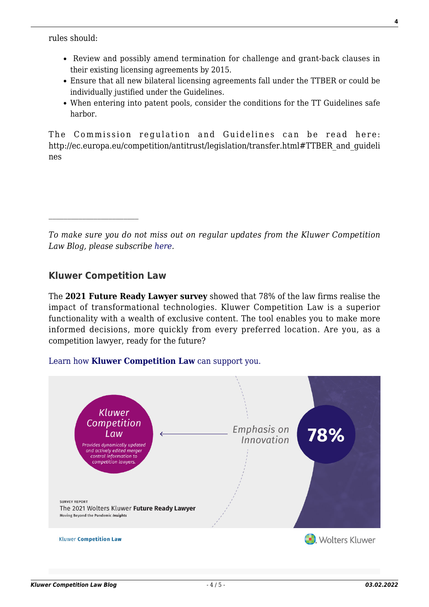rules should:

- Review and possibly amend termination for challenge and grant-back clauses in their existing licensing agreements by 2015.
- Ensure that all new bilateral licensing agreements fall under the TTBER or could be individually justified under the Guidelines.
- When entering into patent pools, consider the conditions for the TT Guidelines safe harbor.

The Commission regulation and Guidelines can be read here: http://ec.europa.eu/competition/antitrust/legislation/transfer.html#TTBER and guideli nes

*To make sure you do not miss out on regular updates from the Kluwer Competition Law Blog, please subscribe [here.](http://competitionlawblog.kluwercompetitionlaw.com/newsletter/)*

## **Kluwer Competition Law**

 $\mathcal{L}_\text{max}$ 

The **2021 Future Ready Lawyer survey** showed that 78% of the law firms realise the impact of transformational technologies. Kluwer Competition Law is a superior functionality with a wealth of exclusive content. The tool enables you to make more informed decisions, more quickly from every preferred location. Are you, as a competition lawyer, ready for the future?

#### [Learn how](https://www.wolterskluwer.com/en/solutions/kluwercompetitionlaw?utm_source=competitionlawblog&utm_medium=articleCTA&utm_campaign=article-banner) **[Kluwer Competition Law](https://www.wolterskluwer.com/en/solutions/kluwercompetitionlaw?utm_source=competitionlawblog&utm_medium=articleCTA&utm_campaign=article-banner)** [can support you.](https://www.wolterskluwer.com/en/solutions/kluwercompetitionlaw?utm_source=competitionlawblog&utm_medium=articleCTA&utm_campaign=article-banner)